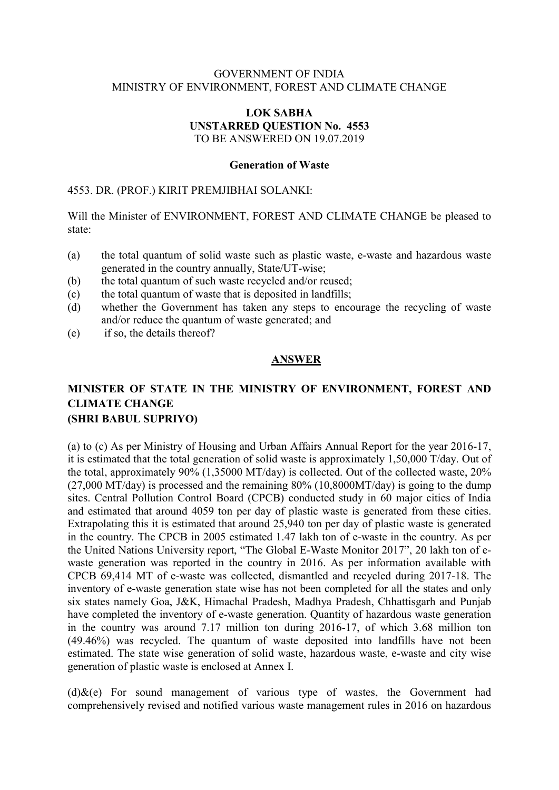### GOVERNMENT OF INDIA MINISTRY OF ENVIRONMENT, FOREST AND CLIMATE CHANGE

#### LOK SABHA UNSTARRED QUESTION No. 4553 TO BE ANSWERED ON 19.07.2019

#### Generation of Waste

#### 4553. DR. (PROF.) KIRIT PREMJIBHAI SOLANKI:

Will the Minister of ENVIRONMENT, FOREST AND CLIMATE CHANGE be pleased to state:

- (a) the total quantum of solid waste such as plastic waste, e-waste and hazardous waste generated in the country annually, State/UT-wise;
- (b) the total quantum of such waste recycled and/or reused;
- $(c)$  the total quantum of waste that is deposited in landfills;
- (d) whether the Government has taken any steps to encourage the recycling of waste and/or reduce the quantum of waste generated; and
- (e) if so, the details thereof?

#### ANSWER

### MINISTER OF STATE IN THE MINISTRY OF ENVIRONMENT, FOREST AND CLIMATE CHANGE (SHRI BABUL SUPRIYO)

(a) to (c) As per Ministry of Housing and Urban Affairs Annual Report for the year 2016-17, it is estimated that the total generation of solid waste is approximately 1,50,000 T/day. Out of the total, approximately 90% (1,35000 MT/day) is collected. Out of the collected waste, 20% (27,000 MT/day) is processed and the remaining 80% (10,8000MT/day) is going to the dump sites. Central Pollution Control Board (CPCB) conducted study in 60 major cities of India and estimated that around 4059 ton per day of plastic waste is generated from these cities. Extrapolating this it is estimated that around 25,940 ton per day of plastic waste is generated in the country. The CPCB in 2005 estimated 1.47 lakh ton of e-waste in the country. As per the United Nations University report, "The Global E-Waste Monitor 2017", 20 lakh ton of ewaste generation was reported in the country in 2016. As per information available with CPCB 69,414 MT of e-waste was collected, dismantled and recycled during 2017-18. The inventory of e-waste generation state wise has not been completed for all the states and only six states namely Goa, J&K, Himachal Pradesh, Madhya Pradesh, Chhattisgarh and Punjab have completed the inventory of e-waste generation. Quantity of hazardous waste generation in the country was around 7.17 million ton during 2016-17, of which 3.68 million ton (49.46%) was recycled. The quantum of waste deposited into landfills have not been estimated. The state wise generation of solid waste, hazardous waste, e-waste and city wise generation of plastic waste is enclosed at Annex I.

 $(d)$ &(e) For sound management of various type of wastes, the Government had comprehensively revised and notified various waste management rules in 2016 on hazardous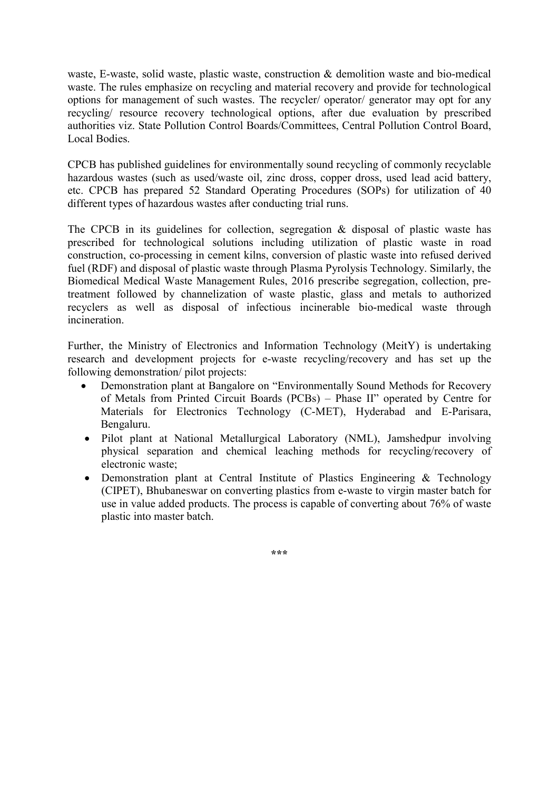waste, E-waste, solid waste, plastic waste, construction & demolition waste and bio-medical waste. The rules emphasize on recycling and material recovery and provide for technological options for management of such wastes. The recycler/ operator/ generator may opt for any recycling/ resource recovery technological options, after due evaluation by prescribed authorities viz. State Pollution Control Boards/Committees, Central Pollution Control Board, Local Bodies.

CPCB has published guidelines for environmentally sound recycling of commonly recyclable hazardous wastes (such as used/waste oil, zinc dross, copper dross, used lead acid battery, etc. CPCB has prepared 52 Standard Operating Procedures (SOPs) for utilization of 40 different types of hazardous wastes after conducting trial runs.

The CPCB in its guidelines for collection, segregation & disposal of plastic waste has prescribed for technological solutions including utilization of plastic waste in road construction, co-processing in cement kilns, conversion of plastic waste into refused derived fuel (RDF) and disposal of plastic waste through Plasma Pyrolysis Technology. Similarly, the Biomedical Medical Waste Management Rules, 2016 prescribe segregation, collection, pretreatment followed by channelization of waste plastic, glass and metals to authorized recyclers as well as disposal of infectious incinerable bio-medical waste through incineration.

Further, the Ministry of Electronics and Information Technology (MeitY) is undertaking research and development projects for e-waste recycling/recovery and has set up the following demonstration/ pilot projects:

- Demonstration plant at Bangalore on "Environmentally Sound Methods for Recovery of Metals from Printed Circuit Boards (PCBs) – Phase II" operated by Centre for Materials for Electronics Technology (C-MET), Hyderabad and E-Parisara, Bengaluru.
- Pilot plant at National Metallurgical Laboratory (NML), Jamshedpur involving physical separation and chemical leaching methods for recycling/recovery of electronic waste;
- Demonstration plant at Central Institute of Plastics Engineering & Technology (CIPET), Bhubaneswar on converting plastics from e-waste to virgin master batch for use in value added products. The process is capable of converting about 76% of waste plastic into master batch.

\*\*\*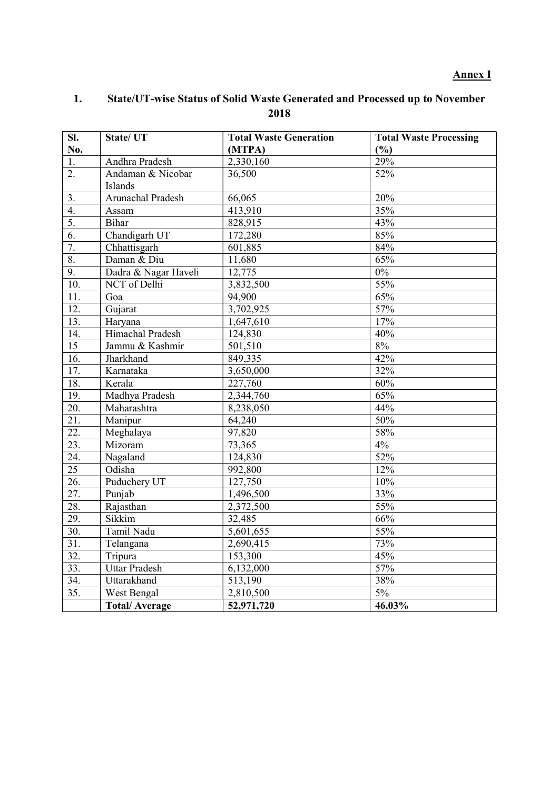### Annex I

### 1. State/UT-wise Status of Solid Waste Generated and Processed up to November 2018

| SI.               | State/ UT            | <b>Total Waste Generation</b> | <b>Total Waste Processing</b> |
|-------------------|----------------------|-------------------------------|-------------------------------|
| No.               |                      | (MTPA)                        | (%)                           |
| 1.                | Andhra Pradesh       | 2,330,160                     | 29%                           |
| 2.                | Andaman & Nicobar    | 36,500                        | 52%                           |
|                   | Islands              |                               |                               |
| 3.                | Arunachal Pradesh    | 66,065                        | 20%                           |
| 4.                | Assam                | 413,910                       | 35%                           |
| 5.                | Bihar                | 828,915                       | 43%                           |
| 6.                | Chandigarh UT        | 172,280                       | 85%                           |
| 7.                | Chhattisgarh         | 601,885                       | 84%                           |
| 8.                | Daman & Diu          | 11,680                        | 65%                           |
| 9.                | Dadra & Nagar Haveli | 12,775                        | $0\%$                         |
| 10.               | NCT of Delhi         | 3,832,500                     | 55%                           |
| 11.               | Goa                  | 94,900                        | 65%                           |
| 12.               | Gujarat              | 3,702,925                     | 57%                           |
| $\overline{13}$ . | Haryana              | 1,647,610                     | 17%                           |
| 14.               | Himachal Pradesh     | 124,830                       | 40%                           |
| $\overline{15}$   | Jammu & Kashmir      | 501,510                       | 8%                            |
| 16.               | Jharkhand            | 849,335                       | 42%                           |
| 17.               | Karnataka            | 3,650,000                     | 32%                           |
| 18.               | Kerala               | 227,760                       | 60%                           |
| 19.               | Madhya Pradesh       | 2,344,760                     | 65%                           |
| 20.               | Maharashtra          | 8,238,050                     | 44%                           |
| 21.               | Manipur              | 64,240                        | 50%                           |
| 22.               | Meghalaya            | 97,820                        | 58%                           |
| $\overline{23}$ . | Mizoram              | 73,365                        | 4%                            |
| 24.               | Nagaland             | 124,830                       | 52%                           |
| $\overline{25}$   | Odisha               | 992,800                       | 12%                           |
| $\overline{26}$ . | Puduchery UT         | 127,750                       | 10%                           |
| $\overline{27}$ . | Punjab               | 1,496,500                     | 33%                           |
| 28.               | Rajasthan            | 2,372,500                     | 55%                           |
| 29.               | Sikkim               | 32,485                        | 66%                           |
| $\overline{30}$ . | Tamil Nadu           | 5,601,655                     | 55%                           |
| 31.               | Telangana            | 2,690,415                     | 73%                           |
| $\overline{32}$ . | Tripura              | 153,300                       | 45%                           |
| 33.               | <b>Uttar Pradesh</b> | 6,132,000                     | 57%                           |
| 34.               | Uttarakhand          | 513,190                       | 38%                           |
| $\overline{35}$ . | West Bengal          | 2,810,500                     | 5%                            |
|                   | <b>Total/Average</b> | 52,971,720                    | 46.03%                        |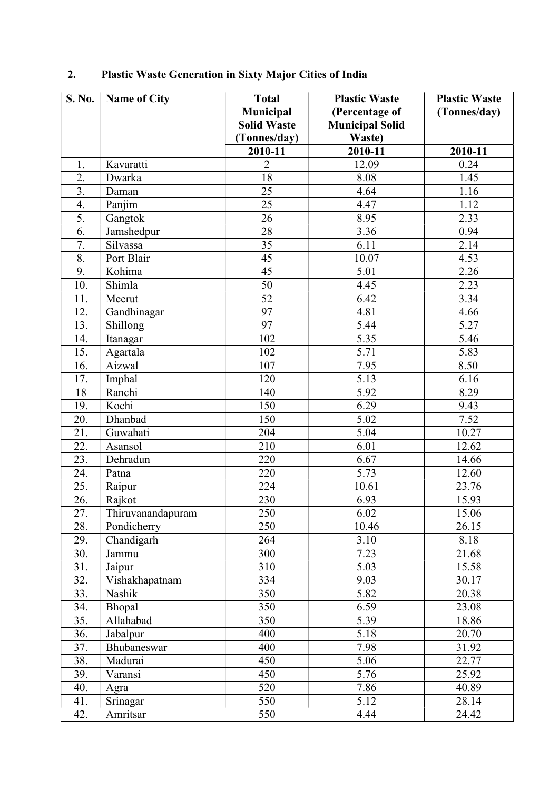| S. No. | <b>Name of City</b> | <b>Total</b>            | <b>Plastic Waste</b>             | <b>Plastic Waste</b> |
|--------|---------------------|-------------------------|----------------------------------|----------------------|
|        |                     | Municipal               | (Percentage of                   | (Tonnes/day)         |
|        |                     | <b>Solid Waste</b>      | <b>Municipal Solid</b><br>Waste) |                      |
|        |                     | (Tonnes/day)<br>2010-11 | 2010-11                          | 2010-11              |
| 1.     | Kavaratti           | $\overline{2}$          | 12.09                            | 0.24                 |
| 2.     | Dwarka              | 18                      | 8.08                             | 1.45                 |
| 3.     | Daman               | 25                      | 4.64                             | 1.16                 |
| 4.     | Panjim              | 25                      | 4.47                             | 1.12                 |
| 5.     | Gangtok             | 26                      | 8.95                             | 2.33                 |
| 6.     | Jamshedpur          | 28                      | 3.36                             | 0.94                 |
| 7.     | Silvassa            | 35                      | 6.11                             | 2.14                 |
| 8.     | Port Blair          | 45                      | 10.07                            | 4.53                 |
| 9.     | Kohima              | 45                      | 5.01                             | 2.26                 |
| 10.    | Shimla              | 50                      | 4.45                             | 2.23                 |
| 11.    | Meerut              | 52                      | 6.42                             | 3.34                 |
| 12.    | Gandhinagar         | 97                      | 4.81                             | 4.66                 |
| 13.    | Shillong            | 97                      | 5.44                             | 5.27                 |
| 14.    | Itanagar            | 102                     | 5.35                             | 5.46                 |
| 15.    | Agartala            | 102                     | 5.71                             | 5.83                 |
| 16.    | Aizwal              | 107                     | 7.95                             | 8.50                 |
| 17.    | Imphal              | 120                     | 5.13                             | 6.16                 |
| 18     | Ranchi              | 140                     | 5.92                             | 8.29                 |
| 19.    | Kochi               | 150                     | 6.29                             | 9.43                 |
| 20.    | Dhanbad             | 150                     | 5.02                             | 7.52                 |
| 21.    | Guwahati            | 204                     | 5.04                             | 10.27                |
| 22.    | Asansol             | 210                     | 6.01                             | 12.62                |
| 23.    | Dehradun            | 220                     | 6.67                             | 14.66                |
| 24.    | Patna               | 220                     | 5.73                             | 12.60                |
| 25.    | Raipur              | 224                     | 10.61                            | 23.76                |
| 26.    | Rajkot              | 230                     | 6.93                             | 15.93                |
| 27.    | Thiruvanandapuram   | 250                     | 6.02                             | 15.06                |
| 28.    | Pondicherry         | 250                     | 10.46                            | 26.15                |
| 29.    | Chandigarh          | 264                     | 3.10                             | 8.18                 |
| 30.    | Jammu               | 300                     | 7.23                             | 21.68                |
| 31.    | Jaipur              | 310                     | 5.03                             | 15.58                |
| 32.    | Vishakhapatnam      | 334                     | 9.03                             | 30.17                |
| 33.    | Nashik              | 350                     | 5.82                             | 20.38                |
| 34.    | Bhopal              | 350                     | 6.59                             | 23.08                |
| 35.    | Allahabad           | 350                     | 5.39                             | 18.86                |
| 36.    | Jabalpur            | 400                     | 5.18                             | 20.70                |
| 37.    | Bhubaneswar         | 400                     | 7.98                             | 31.92                |
| 38.    | Madurai             | 450                     | 5.06                             | 22.77                |
| 39.    | Varansi             | 450                     | 5.76                             | 25.92                |
| 40.    | Agra                | 520                     | 7.86                             | 40.89                |
| 41.    | Srinagar            | 550                     | 5.12                             | 28.14                |
| 42.    | Amritsar            | 550                     | 4.44                             | 24.42                |

# 2. Plastic Waste Generation in Sixty Major Cities of India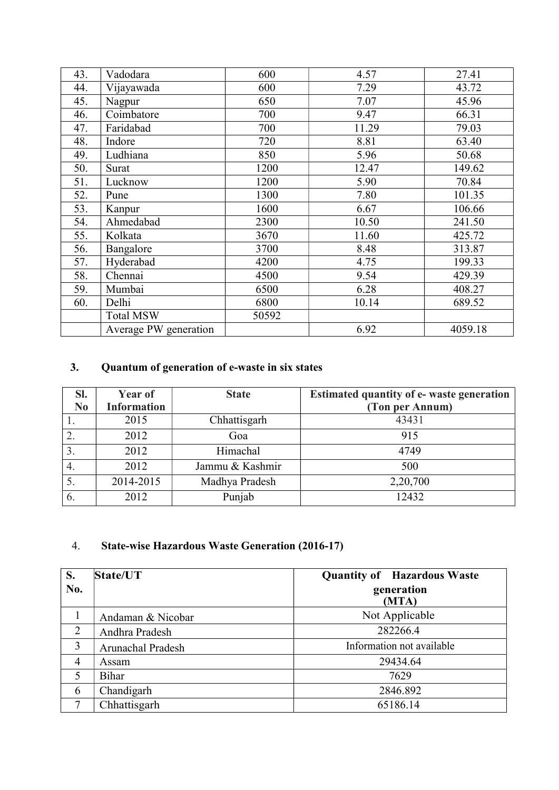| 43. | Vadodara              | 600   | 4.57  | 27.41   |
|-----|-----------------------|-------|-------|---------|
| 44. | Vijayawada            | 600   | 7.29  | 43.72   |
| 45. | Nagpur                | 650   | 7.07  | 45.96   |
| 46. | Coimbatore            | 700   | 9.47  | 66.31   |
| 47. | Faridabad             | 700   | 11.29 | 79.03   |
| 48. | Indore                | 720   | 8.81  | 63.40   |
| 49. | Ludhiana              | 850   | 5.96  | 50.68   |
| 50. | Surat                 | 1200  | 12.47 | 149.62  |
| 51. | Lucknow               | 1200  | 5.90  | 70.84   |
| 52. | Pune                  | 1300  | 7.80  | 101.35  |
| 53. | Kanpur                | 1600  | 6.67  | 106.66  |
| 54. | Ahmedabad             | 2300  | 10.50 | 241.50  |
| 55. | Kolkata               | 3670  | 11.60 | 425.72  |
| 56. | Bangalore             | 3700  | 8.48  | 313.87  |
| 57. | Hyderabad             | 4200  | 4.75  | 199.33  |
| 58. | Chennai               | 4500  | 9.54  | 429.39  |
| 59. | Mumbai                | 6500  | 6.28  | 408.27  |
| 60. | Delhi                 | 6800  | 10.14 | 689.52  |
|     | <b>Total MSW</b>      | 50592 |       |         |
|     | Average PW generation |       | 6.92  | 4059.18 |

# 3. Quantum of generation of e-waste in six states

| SI.            | <b>Year of</b>     | <b>State</b>    | <b>Estimated quantity of e- waste generation</b> |
|----------------|--------------------|-----------------|--------------------------------------------------|
| N <sub>0</sub> | <b>Information</b> |                 | (Ton per Annum)                                  |
|                | 2015               | Chhattisgarh    | 43431                                            |
| 2.             | 2012               | Goa             | 915                                              |
| 3.             | 2012               | Himachal        | 4749                                             |
| -4.            | 2012               | Jammu & Kashmir | 500                                              |
|                | 2014-2015          | Madhya Pradesh  | 2,20,700                                         |
| 6.             | 2012               | Punjab          | 12432                                            |

### 4. State-wise Hazardous Waste Generation (2016-17)

| S.             | State/UT          | <b>Quantity of Hazardous Waste</b> |
|----------------|-------------------|------------------------------------|
| No.            |                   | generation<br>(MTA)                |
|                | Andaman & Nicobar | Not Applicable                     |
| $\overline{2}$ | Andhra Pradesh    | 282266.4                           |
| 3              | Arunachal Pradesh | Information not available          |
| 4              | Assam             | 29434.64                           |
| 5              | Bihar             | 7629                               |
| 6              | Chandigarh        | 2846.892                           |
| ⇁              | Chhattisgarh      | 65186.14                           |